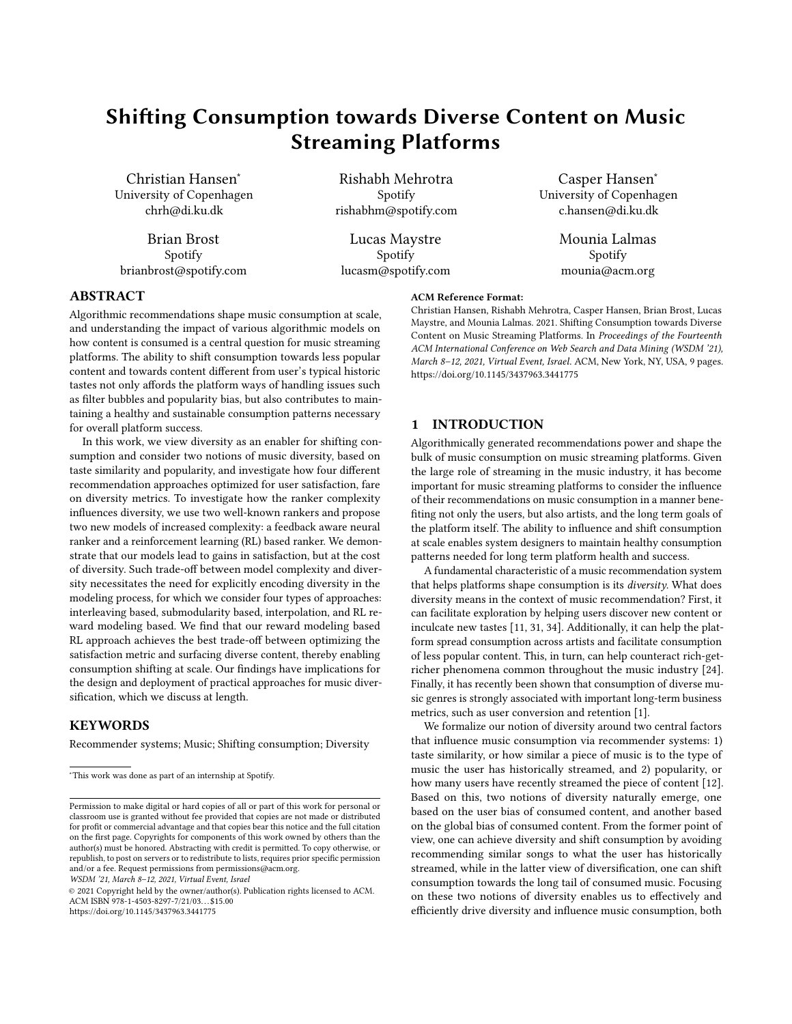# Shifting Consumption towards Diverse Content on Music Streaming Platforms

Christian Hansen<sup>∗</sup> University of Copenhagen chrh@di.ku.dk

Brian Brost Spotify brianbrost@spotify.com

Rishabh Mehrotra Spotify rishabhm@spotify.com

Lucas Maystre Spotify lucasm@spotify.com

Casper Hansen<sup>∗</sup> University of Copenhagen c.hansen@di.ku.dk

> Mounia Lalmas Spotify mounia@acm.org

## ABSTRACT

Algorithmic recommendations shape music consumption at scale, and understanding the impact of various algorithmic models on how content is consumed is a central question for music streaming platforms. The ability to shift consumption towards less popular content and towards content different from user's typical historic tastes not only affords the platform ways of handling issues such as filter bubbles and popularity bias, but also contributes to maintaining a healthy and sustainable consumption patterns necessary for overall platform success.

In this work, we view diversity as an enabler for shifting consumption and consider two notions of music diversity, based on taste similarity and popularity, and investigate how four different recommendation approaches optimized for user satisfaction, fare on diversity metrics. To investigate how the ranker complexity influences diversity, we use two well-known rankers and propose two new models of increased complexity: a feedback aware neural ranker and a reinforcement learning (RL) based ranker. We demonstrate that our models lead to gains in satisfaction, but at the cost of diversity. Such trade-off between model complexity and diversity necessitates the need for explicitly encoding diversity in the modeling process, for which we consider four types of approaches: interleaving based, submodularity based, interpolation, and RL reward modeling based. We find that our reward modeling based RL approach achieves the best trade-off between optimizing the satisfaction metric and surfacing diverse content, thereby enabling consumption shifting at scale. Our findings have implications for the design and deployment of practical approaches for music diversification, which we discuss at length.

# **KEYWORDS**

Recommender systems; Music; Shifting consumption; Diversity

WSDM '21, March 8–12, 2021, Virtual Event, Israel

© 2021 Copyright held by the owner/author(s). Publication rights licensed to ACM. ACM ISBN 978-1-4503-8297-7/21/03. . . \$15.00 <https://doi.org/10.1145/3437963.3441775>

#### ACM Reference Format:

Christian Hansen, Rishabh Mehrotra, Casper Hansen, Brian Brost, Lucas Maystre, and Mounia Lalmas. 2021. Shifting Consumption towards Diverse Content on Music Streaming Platforms. In Proceedings of the Fourteenth ACM International Conference on Web Search and Data Mining (WSDM '21), March 8–12, 2021, Virtual Event, Israel. ACM, New York, NY, USA, [9](#page-8-0) pages. <https://doi.org/10.1145/3437963.3441775>

# 1 INTRODUCTION

Algorithmically generated recommendations power and shape the bulk of music consumption on music streaming platforms. Given the large role of streaming in the music industry, it has become important for music streaming platforms to consider the influence of their recommendations on music consumption in a manner benefiting not only the users, but also artists, and the long term goals of the platform itself. The ability to influence and shift consumption at scale enables system designers to maintain healthy consumption patterns needed for long term platform health and success.

A fundamental characteristic of a music recommendation system that helps platforms shape consumption is its diversity. What does diversity means in the context of music recommendation? First, it can facilitate exploration by helping users discover new content or inculcate new tastes [\[11,](#page-8-1) [31,](#page-8-2) [34\]](#page-8-3). Additionally, it can help the platform spread consumption across artists and facilitate consumption of less popular content. This, in turn, can help counteract rich-getricher phenomena common throughout the music industry [\[24\]](#page-8-4). Finally, it has recently been shown that consumption of diverse music genres is strongly associated with important long-term business metrics, such as user conversion and retention [\[1\]](#page-8-5).

We formalize our notion of diversity around two central factors that influence music consumption via recommender systems: 1) taste similarity, or how similar a piece of music is to the type of music the user has historically streamed, and 2) popularity, or how many users have recently streamed the piece of content [\[12\]](#page-8-6). Based on this, two notions of diversity naturally emerge, one based on the user bias of consumed content, and another based on the global bias of consumed content. From the former point of view, one can achieve diversity and shift consumption by avoiding recommending similar songs to what the user has historically streamed, while in the latter view of diversification, one can shift consumption towards the long tail of consumed music. Focusing on these two notions of diversity enables us to effectively and efficiently drive diversity and influence music consumption, both

<sup>∗</sup>This work was done as part of an internship at Spotify.

Permission to make digital or hard copies of all or part of this work for personal or classroom use is granted without fee provided that copies are not made or distributed for profit or commercial advantage and that copies bear this notice and the full citation on the first page. Copyrights for components of this work owned by others than the author(s) must be honored. Abstracting with credit is permitted. To copy otherwise, or republish, to post on servers or to redistribute to lists, requires prior specific permission and/or a fee. Request permissions from permissions@acm.org.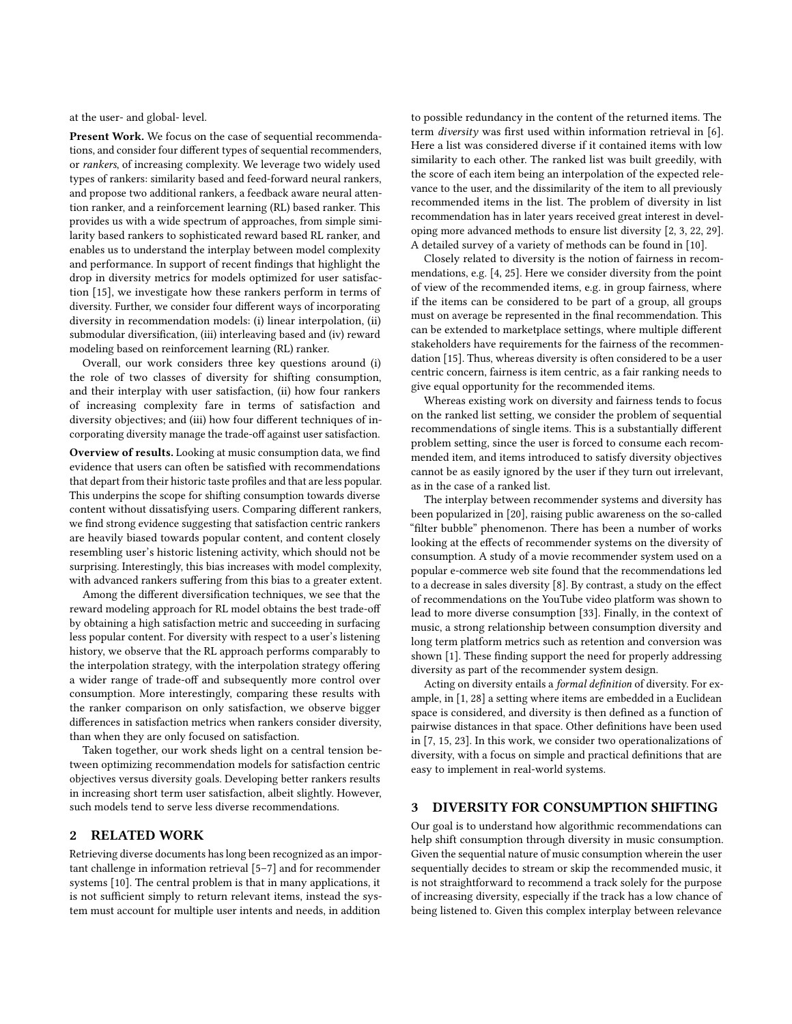at the user- and global- level.

Present Work. We focus on the case of sequential recommendations, and consider four different types of sequential recommenders, or rankers, of increasing complexity. We leverage two widely used types of rankers: similarity based and feed-forward neural rankers, and propose two additional rankers, a feedback aware neural attention ranker, and a reinforcement learning (RL) based ranker. This provides us with a wide spectrum of approaches, from simple similarity based rankers to sophisticated reward based RL ranker, and enables us to understand the interplay between model complexity and performance. In support of recent findings that highlight the drop in diversity metrics for models optimized for user satisfaction [\[15\]](#page-8-7), we investigate how these rankers perform in terms of diversity. Further, we consider four different ways of incorporating diversity in recommendation models: (i) linear interpolation, (ii) submodular diversification, (iii) interleaving based and (iv) reward modeling based on reinforcement learning (RL) ranker.

Overall, our work considers three key questions around (i) the role of two classes of diversity for shifting consumption, and their interplay with user satisfaction, (ii) how four rankers of increasing complexity fare in terms of satisfaction and diversity objectives; and (iii) how four different techniques of incorporating diversity manage the trade-off against user satisfaction.

Overview of results. Looking at music consumption data, we find evidence that users can often be satisfied with recommendations that depart from their historic taste profiles and that are less popular. This underpins the scope for shifting consumption towards diverse content without dissatisfying users. Comparing different rankers, we find strong evidence suggesting that satisfaction centric rankers are heavily biased towards popular content, and content closely resembling user's historic listening activity, which should not be surprising. Interestingly, this bias increases with model complexity, with advanced rankers suffering from this bias to a greater extent.

Among the different diversification techniques, we see that the reward modeling approach for RL model obtains the best trade-off by obtaining a high satisfaction metric and succeeding in surfacing less popular content. For diversity with respect to a user's listening history, we observe that the RL approach performs comparably to the interpolation strategy, with the interpolation strategy offering a wider range of trade-off and subsequently more control over consumption. More interestingly, comparing these results with the ranker comparison on only satisfaction, we observe bigger differences in satisfaction metrics when rankers consider diversity, than when they are only focused on satisfaction.

Taken together, our work sheds light on a central tension between optimizing recommendation models for satisfaction centric objectives versus diversity goals. Developing better rankers results in increasing short term user satisfaction, albeit slightly. However, such models tend to serve less diverse recommendations.

# 2 RELATED WORK

Retrieving diverse documents has long been recognized as an important challenge in information retrieval [\[5–](#page-8-8)[7\]](#page-8-9) and for recommender systems [\[10\]](#page-8-10). The central problem is that in many applications, it is not sufficient simply to return relevant items, instead the system must account for multiple user intents and needs, in addition

to possible redundancy in the content of the returned items. The term diversity was first used within information retrieval in [\[6\]](#page-8-11). Here a list was considered diverse if it contained items with low similarity to each other. The ranked list was built greedily, with the score of each item being an interpolation of the expected relevance to the user, and the dissimilarity of the item to all previously recommended items in the list. The problem of diversity in list recommendation has in later years received great interest in developing more advanced methods to ensure list diversity [\[2,](#page-8-12) [3,](#page-8-13) [22,](#page-8-14) [29\]](#page-8-15). A detailed survey of a variety of methods can be found in [\[10\]](#page-8-10).

Closely related to diversity is the notion of fairness in recommendations, e.g. [\[4,](#page-8-16) [25\]](#page-8-17). Here we consider diversity from the point of view of the recommended items, e.g. in group fairness, where if the items can be considered to be part of a group, all groups must on average be represented in the final recommendation. This can be extended to marketplace settings, where multiple different stakeholders have requirements for the fairness of the recommendation [\[15\]](#page-8-7). Thus, whereas diversity is often considered to be a user centric concern, fairness is item centric, as a fair ranking needs to give equal opportunity for the recommended items.

Whereas existing work on diversity and fairness tends to focus on the ranked list setting, we consider the problem of sequential recommendations of single items. This is a substantially different problem setting, since the user is forced to consume each recommended item, and items introduced to satisfy diversity objectives cannot be as easily ignored by the user if they turn out irrelevant, as in the case of a ranked list.

The interplay between recommender systems and diversity has been popularized in [\[20\]](#page-8-18), raising public awareness on the so-called "filter bubble" phenomenon. There has been a number of works looking at the effects of recommender systems on the diversity of consumption. A study of a movie recommender system used on a popular e-commerce web site found that the recommendations led to a decrease in sales diversity [\[8\]](#page-8-19). By contrast, a study on the effect of recommendations on the YouTube video platform was shown to lead to more diverse consumption [\[33\]](#page-8-20). Finally, in the context of music, a strong relationship between consumption diversity and long term platform metrics such as retention and conversion was shown [\[1\]](#page-8-5). These finding support the need for properly addressing diversity as part of the recommender system design.

Acting on diversity entails a formal definition of diversity. For example, in [\[1,](#page-8-5) [28\]](#page-8-21) a setting where items are embedded in a Euclidean space is considered, and diversity is then defined as a function of pairwise distances in that space. Other definitions have been used in [\[7,](#page-8-9) [15,](#page-8-7) [23\]](#page-8-22). In this work, we consider two operationalizations of diversity, with a focus on simple and practical definitions that are easy to implement in real-world systems.

## <span id="page-1-0"></span>3 DIVERSITY FOR CONSUMPTION SHIFTING

Our goal is to understand how algorithmic recommendations can help shift consumption through diversity in music consumption. Given the sequential nature of music consumption wherein the user sequentially decides to stream or skip the recommended music, it is not straightforward to recommend a track solely for the purpose of increasing diversity, especially if the track has a low chance of being listened to. Given this complex interplay between relevance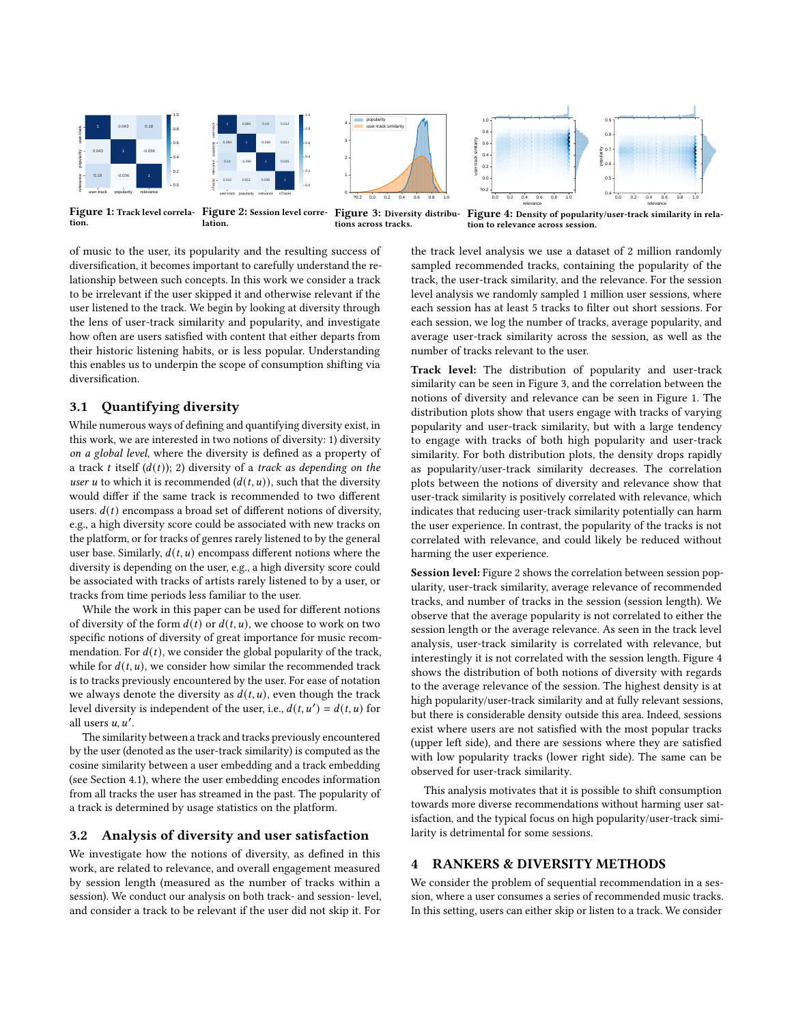<span id="page-2-0"></span>

tion. lation. tions across tracks.

Figure 3: Diversity distribu- Figure 4: Density of popularity/user-track similarity in relation to relevance across session.

of music to the user, its popularity and the resulting success of diversification, it becomes important to carefully understand the relationship between such concepts. In this work we consider a track to be irrelevant if the user skipped it and otherwise relevant if the user listened to the track. We begin by looking at diversity through the lens of user-track similarity and popularity, and investigate how often are users satisfied with content that either departs from their historic listening habits, or is less popular. Understanding this enables us to underpin the scope of consumption shifting via diversification.

# 3.1 Quantifying diversity

While numerous ways of defining and quantifying diversity exist, in this work, we are interested in two notions of diversity: 1) diversity on a global level, where the diversity is defined as a property of a track t itself  $(d(t))$ ; 2) diversity of a track as depending on the user u to which it is recommended  $(d(t, u))$ , such that the diversity would differ if the same track is recommended to two different users.  $d(t)$  encompass a broad set of different notions of diversity, e.g., a high diversity score could be associated with new tracks on the platform, or for tracks of genres rarely listened to by the general user base. Similarly,  $d(t, u)$  encompass different notions where the diversity is depending on the user, e.g., a high diversity score could be associated with tracks of artists rarely listened to by a user, or tracks from time periods less familiar to the user.

While the work in this paper can be used for different notions of diversity of the form  $d(t)$  or  $d(t, u)$ , we choose to work on two specific notions of diversity of great importance for music recommendation. For  $d(t)$ , we consider the global popularity of the track, while for  $d(t, u)$ , we consider how similar the recommended track is to tracks previously encountered by the user. For ease of notation we always denote the diversity as  $d(t, u)$ , even though the track level diversity is independent of the user, i.e.,  $d(t, u') = d(t, u)$  for all users  $u, u'$ .

The similarity between a track and tracks previously encountered by the user (denoted as the user-track similarity) is computed as the cosine similarity between a user embedding and a track embedding (see Section [4.1\)](#page-3-0), where the user embedding encodes information from all tracks the user has streamed in the past. The popularity of a track is determined by usage statistics on the platform.

## 3.2 Analysis of diversity and user satisfaction

We investigate how the notions of diversity, as defined in this work, are related to relevance, and overall engagement measured by session length (measured as the number of tracks within a session). We conduct our analysis on both track- and session- level, and consider a track to be relevant if the user did not skip it. For

the track level analysis we use a dataset of 2 million randomly sampled recommended tracks, containing the popularity of the track, the user-track similarity, and the relevance. For the session level analysis we randomly sampled 1 million user sessions, where each session has at least 5 tracks to filter out short sessions. For each session, we log the number of tracks, average popularity, and average user-track similarity across the session, as well as the number of tracks relevant to the user.

Track level: The distribution of popularity and user-track similarity can be seen in Figure [3,](#page-2-0) and the correlation between the notions of diversity and relevance can be seen in Figure [1.](#page-2-0) The distribution plots show that users engage with tracks of varying popularity and user-track similarity, but with a large tendency to engage with tracks of both high popularity and user-track similarity. For both distribution plots, the density drops rapidly as popularity/user-track similarity decreases. The correlation plots between the notions of diversity and relevance show that user-track similarity is positively correlated with relevance, which indicates that reducing user-track similarity potentially can harm the user experience. In contrast, the popularity of the tracks is not correlated with relevance, and could likely be reduced without harming the user experience.

Session level: Figure [2](#page-2-0) shows the correlation between session popularity, user-track similarity, average relevance of recommended tracks, and number of tracks in the session (session length). We observe that the average popularity is not correlated to either the session length or the average relevance. As seen in the track level analysis, user-track similarity is correlated with relevance, but interestingly it is not correlated with the session length. Figure [4](#page-2-0) shows the distribution of both notions of diversity with regards to the average relevance of the session. The highest density is at high popularity/user-track similarity and at fully relevant sessions, but there is considerable density outside this area. Indeed, sessions exist where users are not satisfied with the most popular tracks (upper left side), and there are sessions where they are satisfied with low popularity tracks (lower right side). The same can be observed for user-track similarity.

This analysis motivates that it is possible to shift consumption towards more diverse recommendations without harming user satisfaction, and the typical focus on high popularity/user-track similarity is detrimental for some sessions.

## <span id="page-2-1"></span>4 RANKERS & DIVERSITY METHODS

We consider the problem of sequential recommendation in a session, where a user consumes a series of recommended music tracks. In this setting, users can either skip or listen to a track. We consider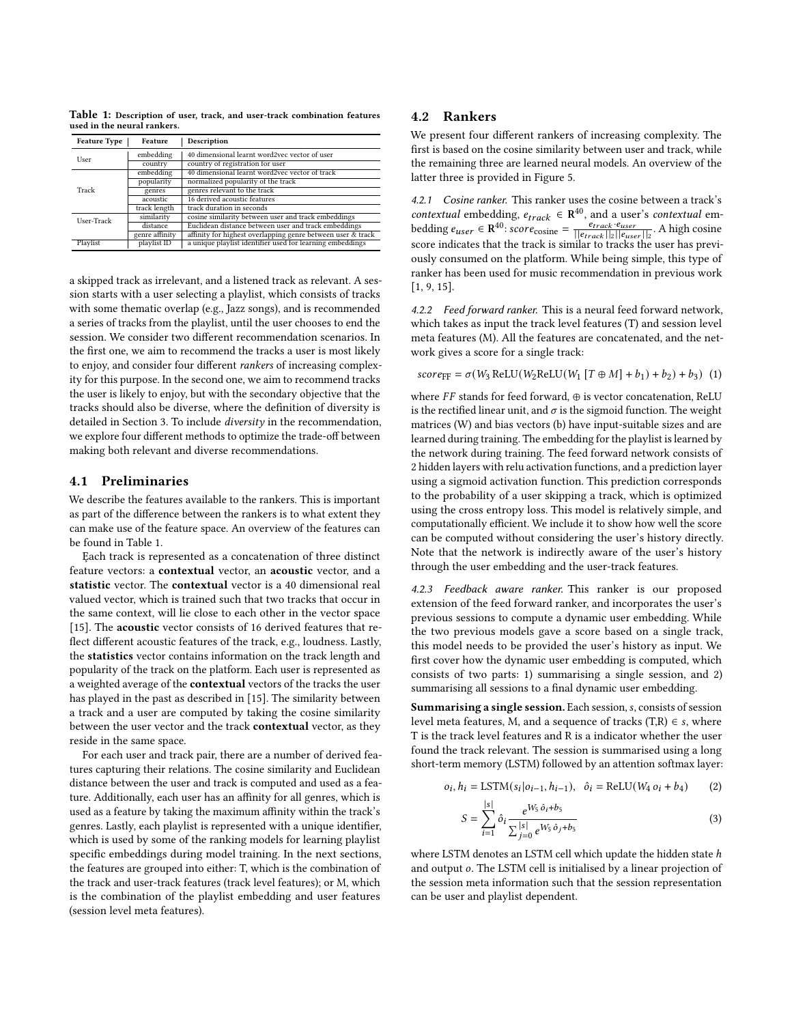<span id="page-3-1"></span>Table 1: Description of user, track, and user-track combination features used in the neural rankers.

| <b>Feature Type</b> | <b>Feature</b> | Description                                                 |  |
|---------------------|----------------|-------------------------------------------------------------|--|
| User                | embedding      | 40 dimensional learnt word2vec vector of user               |  |
|                     | country        | country of registration for user                            |  |
| Track               | embedding      | 40 dimensional learnt word2vec vector of track              |  |
|                     | popularity     | normalized popularity of the track                          |  |
|                     | genres         | genres relevant to the track                                |  |
|                     | acoustic       | 16 derived acoustic features                                |  |
|                     | track length   | track duration in seconds                                   |  |
| User-Track          | similarity     | cosine similarity between user and track embeddings         |  |
|                     | distance       | Euclidean distance between user and track embeddings        |  |
|                     | genre affinity | affinity for highest overlapping genre between user & track |  |
| Playlist            | playlist ID    | a unique playlist identifier used for learning embeddings   |  |

a skipped track as irrelevant, and a listened track as relevant. A session starts with a user selecting a playlist, which consists of tracks with some thematic overlap (e.g., Jazz songs), and is recommended a series of tracks from the playlist, until the user chooses to end the session. We consider two different recommendation scenarios. In the first one, we aim to recommend the tracks a user is most likely to enjoy, and consider four different rankers of increasing complexity for this purpose. In the second one, we aim to recommend tracks the user is likely to enjoy, but with the secondary objective that the tracks should also be diverse, where the definition of diversity is detailed in Section [3.](#page-1-0) To include diversity in the recommendation, we explore four different methods to optimize the trade-off between making both relevant and diverse recommendations.

## <span id="page-3-0"></span>4.1 Preliminaries

We describe the features available to the rankers. This is important as part of the difference between the rankers is to what extent they can make use of the feature space. An overview of the features can be found in Table [1.](#page-3-1)

Each track is represented as a concatenation of three distinct feature vectors: a contextual vector, an acoustic vector, and a statistic vector. The contextual vector is a 40 dimensional real valued vector, which is trained such that two tracks that occur in the same context, will lie close to each other in the vector space [\[15\]](#page-8-7). The **acoustic** vector consists of 16 derived features that reflect different acoustic features of the track, e.g., loudness. Lastly, the statistics vector contains information on the track length and popularity of the track on the platform. Each user is represented as a weighted average of the contextual vectors of the tracks the user has played in the past as described in [\[15\]](#page-8-7). The similarity between a track and a user are computed by taking the cosine similarity between the user vector and the track contextual vector, as they reside in the same space.

For each user and track pair, there are a number of derived features capturing their relations. The cosine similarity and Euclidean distance between the user and track is computed and used as a feature. Additionally, each user has an affinity for all genres, which is used as a feature by taking the maximum affinity within the track's genres. Lastly, each playlist is represented with a unique identifier, which is used by some of the ranking models for learning playlist specific embeddings during model training. In the next sections, the features are grouped into either: T, which is the combination of the track and user-track features (track level features); or M, which is the combination of the playlist embedding and user features (session level meta features).

## 4.2 Rankers

We present four different rankers of increasing complexity. The first is based on the cosine similarity between user and track, while the remaining three are learned neural models. An overview of the latter three is provided in Figure [5.](#page-4-0)

4.2.1 Cosine ranker. This ranker uses the cosine between a track's contextual embedding,  $e_{track} \in \mathbb{R}^{40}$ , and a user's contextual embedding  $e_{user} \in \mathbb{R}^{40}$ : scor $e_{cosine} = \frac{e_{track} \cdot e_{user}}{||e_{track}||_2||e_{user}||_2}$ . A high cosine score indicates that the track is similar to tracks the user has previously consumed on the platform. While being simple, this type of ranker has been used for music recommendation in previous work [\[1,](#page-8-5) [9,](#page-8-23) [15\]](#page-8-7).

4.2.2 Feed forward ranker. This is a neural feed forward network, which takes as input the track level features (T) and session level meta features (M). All the features are concatenated, and the network gives a score for a single track:

 $score_{FF} = \sigma(W_3 \text{ReLU}(W_2 \text{ReLU}(W_1 [ T \oplus M ] + b_1) + b_2) + b_3)$  (1)

where  $FF$  stands for feed forward,  $\oplus$  is vector concatenation, ReLU is the rectified linear unit, and  $\sigma$  is the sigmoid function. The weight matrices (W) and bias vectors (b) have input-suitable sizes and are learned during training. The embedding for the playlist is learned by the network during training. The feed forward network consists of 2 hidden layers with relu activation functions, and a prediction layer using a sigmoid activation function. This prediction corresponds to the probability of a user skipping a track, which is optimized using the cross entropy loss. This model is relatively simple, and computationally efficient. We include it to show how well the score can be computed without considering the user's history directly. Note that the network is indirectly aware of the user's history through the user embedding and the user-track features.

4.2.3 Feedback aware ranker. This ranker is our proposed extension of the feed forward ranker, and incorporates the user's previous sessions to compute a dynamic user embedding. While the two previous models gave a score based on a single track, this model needs to be provided the user's history as input. We first cover how the dynamic user embedding is computed, which consists of two parts: 1) summarising a single session, and 2) summarising all sessions to a final dynamic user embedding.

Summarising a single session. Each session, s, consists of session level meta features, M, and a sequence of tracks (T,R)  $\in$  s, where T is the track level features and R is a indicator whether the user found the track relevant. The session is summarised using a long short-term memory (LSTM) followed by an attention softmax layer:

 $\mathbf{I}$ 

$$
o_i, h_i = \text{LSTM}(s_i | o_{i-1}, h_{i-1}), \quad \hat{o}_i = \text{ReLU}(W_4 o_i + b_4)
$$
 (2)

$$
S = \sum_{i=1}^{|s|} \hat{o}_i \frac{e^{W_5 \hat{o}_i + b_5}}{\sum_{j=0}^{|s|} e^{W_5 \hat{o}_j + b_5}}
$$
(3)

where LSTM denotes an LSTM cell which update the hidden state  $h$ and output o. The LSTM cell is initialised by a linear projection of the session meta information such that the session representation can be user and playlist dependent.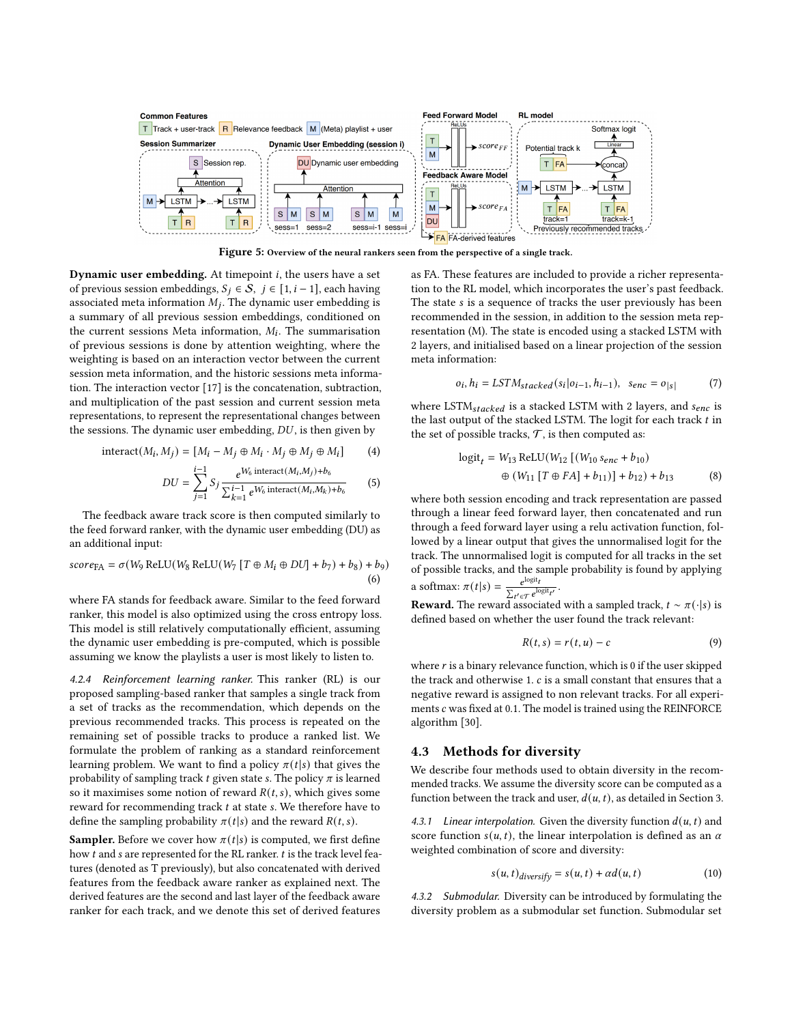<span id="page-4-0"></span>

Figure 5: Overview of the neural rankers seen from the perspective of a single track.

Dynamic user embedding. At timepoint  $i$ , the users have a set of previous session embeddings,  $S_j \in \mathcal{S}$ ,  $j \in [1, i - 1]$ , each having associated meta information  $M_j$ . The dynamic user embedding is a summary of all previous session embeddings, conditioned on the current sessions Meta information,  $M_i$ . The summarisation of previous sessions is done by attention weighting, where the weighting is based on an interaction vector between the current session meta information, and the historic sessions meta information. The interaction vector [\[17\]](#page-8-24) is the concatenation, subtraction, and multiplication of the past session and current session meta representations, to represent the representational changes between the sessions. The dynamic user embedding,  $DU$ , is then given by

$$
interact(Mi, Mj) = [Mi - Mj \oplus Mi \cdot Mj \oplus Mj \oplus Mi]
$$
 (4)

$$
DU = \sum_{j=1}^{i-1} S_j \frac{e^{W_6 \text{ interact}(M_i, M_j) + b_6}}{\sum_{k=1}^{i-1} e^{W_6 \text{ interact}(M_i, M_k) + b_6}}
$$
(5)

The feedback aware track score is then computed similarly to the feed forward ranker, with the dynamic user embedding (DU) as an additional input:

$$
score_{FA} = \sigma(W_9 \text{ReLU}(W_8 \text{ReLU}(W_7 [T \oplus M_i \oplus DU] + b_7) + b_8) + b_9)
$$
  
(6)

where FA stands for feedback aware. Similar to the feed forward ranker, this model is also optimized using the cross entropy loss. This model is still relatively computationally efficient, assuming the dynamic user embedding is pre-computed, which is possible assuming we know the playlists a user is most likely to listen to.

4.2.4 Reinforcement learning ranker. This ranker (RL) is our proposed sampling-based ranker that samples a single track from a set of tracks as the recommendation, which depends on the previous recommended tracks. This process is repeated on the remaining set of possible tracks to produce a ranked list. We formulate the problem of ranking as a standard reinforcement learning problem. We want to find a policy  $\pi(t|s)$  that gives the probability of sampling track  $t$  given state  $s$ . The policy  $\pi$  is learned so it maximises some notion of reward  $R(t, s)$ , which gives some reward for recommending track  $t$  at state  $s$ . We therefore have to define the sampling probability  $\pi(t|s)$  and the reward  $R(t, s)$ .

**Sampler.** Before we cover how  $\pi(t|s)$  is computed, we first define how  $t$  and  $s$  are represented for the RL ranker.  $t$  is the track level features (denoted as T previously), but also concatenated with derived features from the feedback aware ranker as explained next. The derived features are the second and last layer of the feedback aware ranker for each track, and we denote this set of derived features

as FA. These features are included to provide a richer representation to the RL model, which incorporates the user's past feedback. The state s is a sequence of tracks the user previously has been recommended in the session, in addition to the session meta representation (M). The state is encoded using a stacked LSTM with 2 layers, and initialised based on a linear projection of the session meta information:

$$
o_i, h_i = LSTM_{stacked}(s_i|o_{i-1}, h_{i-1}), \quad s_{enc} = o_{|s|}
$$
 (7)

where  $\operatorname{LSTM}_{stacked}$  is a stacked LSTM with 2 layers, and  $s_{enc}$  is the last output of the stacked LSTM. The logit for each track  $t$  in the set of possible tracks,  $\mathcal T$ , is then computed as:

$$
logit_{t} = W_{13} ReLU(W_{12} [(W_{10} s_{enc} + b_{10})
$$
  

$$
\oplus (W_{11} [T \oplus FA] + b_{11})] + b_{12} + b_{13}
$$
 (8)

where both session encoding and track representation are passed through a linear feed forward layer, then concatenated and run through a feed forward layer using a relu activation function, followed by a linear output that gives the unnormalised logit for the track. The unnormalised logit is computed for all tracks in the set of possible tracks, and the sample probability is found by applying a softmax:  $\pi(t|s) = \frac{e^{\log it}}{\sum_{s}$  $\sum_{t' \in \mathcal{T}} e^{\log \mathfrak{i} t} t'$ .

**Reward.** The reward associated with a sampled track,  $t \sim \pi(\cdot|s)$  is defined based on whether the user found the track relevant:

$$
R(t,s) = r(t,u) - c \tag{9}
$$

where  $r$  is a binary relevance function, which is 0 if the user skipped the track and otherwise 1.  $c$  is a small constant that ensures that a negative reward is assigned to non relevant tracks. For all experiments  $c$  was fixed at 0.1. The model is trained using the REINFORCE algorithm [\[30\]](#page-8-25).

#### 4.3 Methods for diversity

We describe four methods used to obtain diversity in the recommended tracks. We assume the diversity score can be computed as a function between the track and user,  $d(u, t)$ , as detailed in Section [3.](#page-1-0)

4.3.1 Linear interpolation. Given the diversity function  $d(u, t)$  and score function  $s(u, t)$ , the linear interpolation is defined as an  $\alpha$ weighted combination of score and diversity:

$$
s(u, t)_{diversify} = s(u, t) + \alpha d(u, t)
$$
\n(10)

<span id="page-4-1"></span>4.3.2 Submodular. Diversity can be introduced by formulating the diversity problem as a submodular set function. Submodular set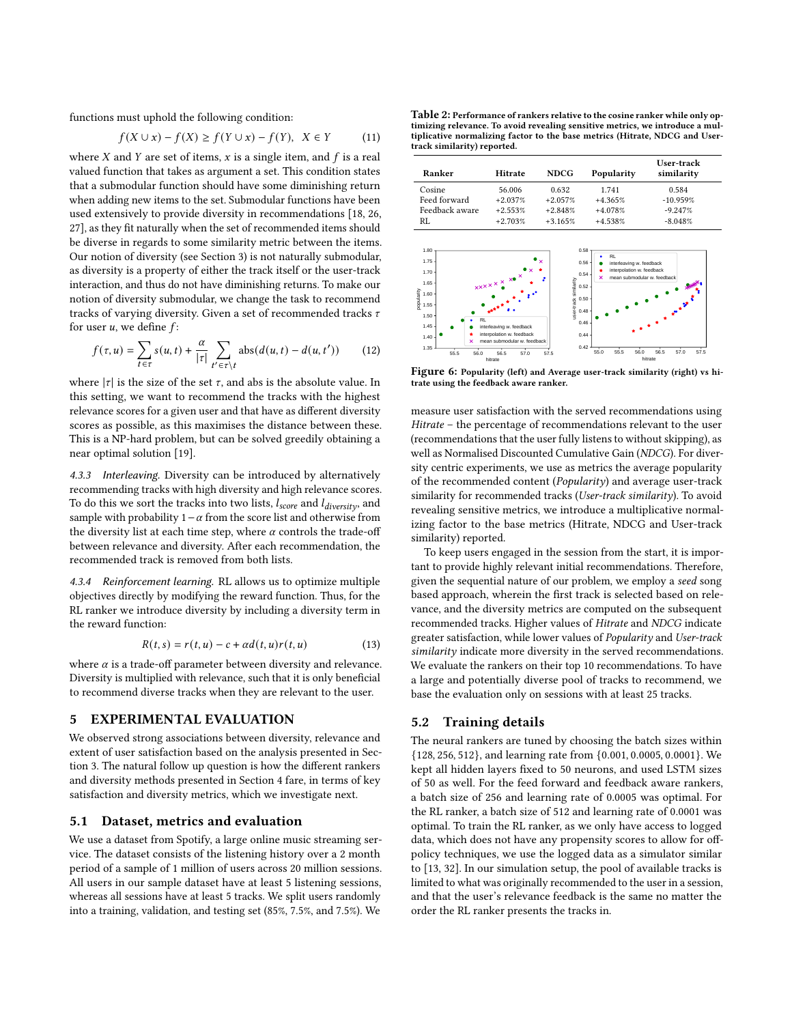functions must uphold the following condition:

$$
f(X \cup x) - f(X) \ge f(Y \cup x) - f(Y), \quad X \in Y \tag{11}
$$

where  $X$  and  $Y$  are set of items,  $x$  is a single item, and  $f$  is a real valued function that takes as argument a set. This condition states that a submodular function should have some diminishing return when adding new items to the set. Submodular functions have been used extensively to provide diversity in recommendations [\[18,](#page-8-26) [26,](#page-8-27) [27\]](#page-8-28), as they fit naturally when the set of recommended items should be diverse in regards to some similarity metric between the items. Our notion of diversity (see Section [3\)](#page-1-0) is not naturally submodular, as diversity is a property of either the track itself or the user-track interaction, and thus do not have diminishing returns. To make our notion of diversity submodular, we change the task to recommend tracks of varying diversity. Given a set of recommended tracks  $\tau$ for user  $u$ , we define  $f$ :

$$
f(\tau, u) = \sum_{t \in \tau} s(u, t) + \frac{\alpha}{|\tau|} \sum_{t' \in \tau \backslash t} \text{abs}(d(u, t) - d(u, t')) \tag{12}
$$

where  $|\tau|$  is the size of the set  $\tau$ , and abs is the absolute value. In this setting, we want to recommend the tracks with the highest relevance scores for a given user and that have as different diversity scores as possible, as this maximises the distance between these. This is a NP-hard problem, but can be solved greedily obtaining a near optimal solution [\[19\]](#page-8-29).

4.3.3 Interleaving. Diversity can be introduced by alternatively recommending tracks with high diversity and high relevance scores. To do this we sort the tracks into two lists,  $l_{score}$  and  $l_{diversity}$ , and sample with probability 1 –  $α$  from the score list and otherwise from the diversity list at each time step, where  $\alpha$  controls the trade-off between relevance and diversity. After each recommendation, the recommended track is removed from both lists.

4.3.4 Reinforcement learning. RL allows us to optimize multiple objectives directly by modifying the reward function. Thus, for the RL ranker we introduce diversity by including a diversity term in the reward function:

$$
R(t,s) = r(t,u) - c + \alpha d(t,u)r(t,u)
$$
\n(13)

where  $\alpha$  is a trade-off parameter between diversity and relevance. Diversity is multiplied with relevance, such that it is only beneficial to recommend diverse tracks when they are relevant to the user.

## 5 EXPERIMENTAL EVALUATION

We observed strong associations between diversity, relevance and extent of user satisfaction based on the analysis presented in Section [3.](#page-1-0) The natural follow up question is how the different rankers and diversity methods presented in Section [4](#page-2-1) fare, in terms of key satisfaction and diversity metrics, which we investigate next.

#### 5.1 Dataset, metrics and evaluation

We use a dataset from Spotify, a large online music streaming service. The dataset consists of the listening history over a 2 month period of a sample of 1 million of users across 20 million sessions. All users in our sample dataset have at least 5 listening sessions, whereas all sessions have at least 5 tracks. We split users randomly into a training, validation, and testing set (85%, 7.5%, and 7.5%). We

<span id="page-5-0"></span>Table 2: Performance of rankers relative to the cosine ranker while only optimizing relevance. To avoid revealing sensitive metrics, we introduce a multiplicative normalizing factor to the base metrics (Hitrate, NDCG and Usertrack similarity) reported.

| Ranker         | Hitrate   | <b>NDCG</b> | Popularity | User-track<br>similarity |
|----------------|-----------|-------------|------------|--------------------------|
| Cosine         | 56.006    | 0.632       | 1.741      | 0.584                    |
| Feed forward   | $+2.037%$ | $+2.057%$   | $+4.365%$  | $-10.959%$               |
| Feedback aware | $+2.553%$ | $+2.848%$   | $+4.078%$  | $-9.247%$                |
| RL             | $+2.703%$ | $+3.165%$   | $+4.538%$  | $-8.048%$                |

<span id="page-5-1"></span>

Figure 6: Popularity (left) and Average user-track similarity (right) vs hitrate using the feedback aware ranker.

measure user satisfaction with the served recommendations using Hitrate – the percentage of recommendations relevant to the user (recommendations that the user fully listens to without skipping), as well as Normalised Discounted Cumulative Gain (NDCG). For diversity centric experiments, we use as metrics the average popularity of the recommended content (Popularity) and average user-track similarity for recommended tracks (User-track similarity). To avoid revealing sensitive metrics, we introduce a multiplicative normalizing factor to the base metrics (Hitrate, NDCG and User-track similarity) reported.

To keep users engaged in the session from the start, it is important to provide highly relevant initial recommendations. Therefore, given the sequential nature of our problem, we employ a seed song based approach, wherein the first track is selected based on relevance, and the diversity metrics are computed on the subsequent recommended tracks. Higher values of Hitrate and NDCG indicate greater satisfaction, while lower values of Popularity and User-track similarity indicate more diversity in the served recommendations. We evaluate the rankers on their top 10 recommendations. To have a large and potentially diverse pool of tracks to recommend, we base the evaluation only on sessions with at least 25 tracks.

## 5.2 Training details

The neural rankers are tuned by choosing the batch sizes within {128, 256, 512}, and learning rate from {0.001, 0.0005, 0.0001}. We kept all hidden layers fixed to 50 neurons, and used LSTM sizes of 50 as well. For the feed forward and feedback aware rankers, a batch size of 256 and learning rate of 0.0005 was optimal. For the RL ranker, a batch size of 512 and learning rate of 0.0001 was optimal. To train the RL ranker, as we only have access to logged data, which does not have any propensity scores to allow for offpolicy techniques, we use the logged data as a simulator similar to [\[13,](#page-8-30) [32\]](#page-8-31). In our simulation setup, the pool of available tracks is limited to what was originally recommended to the user in a session, and that the user's relevance feedback is the same no matter the order the RL ranker presents the tracks in.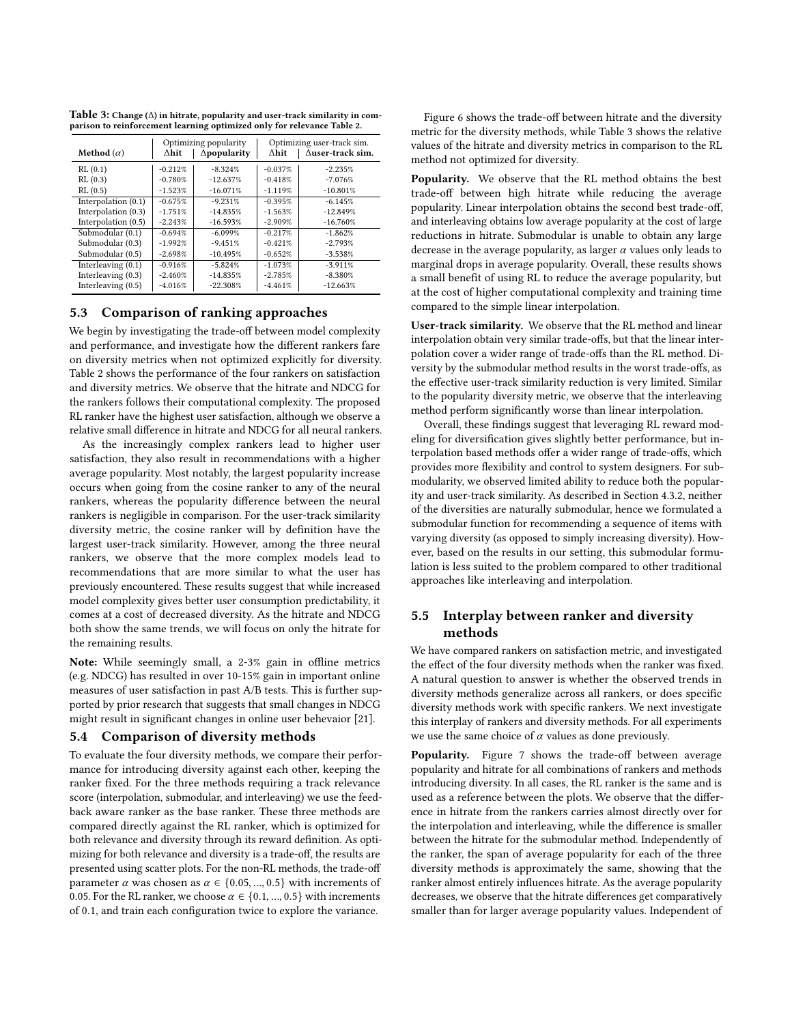<span id="page-6-0"></span>

| Table 3: Change ( $\Delta$ ) in hitrate, popularity and user-track similarity in com- |  |
|---------------------------------------------------------------------------------------|--|
| parison to reinforcement learning optimized only for relevance Table 2.               |  |

|                      | Optimizing popularity |                     | Optimizing user-track sim. |                          |
|----------------------|-----------------------|---------------------|----------------------------|--------------------------|
| Method $(\alpha)$    | ∧hit                  | $\Delta$ popularity | ∆hit                       | $\Delta$ user-track sim. |
| RL(0.1)              | $-0.212%$             | $-8.324%$           | $-0.037%$                  | $-2.235%$                |
| RL(0.3)              | $-0.780%$             | $-12.637%$          | $-0.418%$                  | $-7.076%$                |
| RL(0.5)              | $-1.523%$             | $-16.071%$          | $-1.119%$                  | $-10.801%$               |
| Interpolation (0.1)  | $-0.675%$             | $-9.231%$           | $-0.395%$                  | $-6.145%$                |
| Interpolation (0.3)  | $-1.751%$             | $-14.835%$          | $-1.563%$                  | $-12.849%$               |
| Interpolation (0.5)  | $-2.243%$             | $-16.593%$          | $-2.909%$                  | $-16.760%$               |
| Submodular (0.1)     | $-0.694%$             | $-6.099%$           | $-0.217%$                  | $-1.862%$                |
| Submodular (0.3)     | $-1.992%$             | $-9.451%$           | $-0.421%$                  | $-2.793%$                |
| Submodular (0.5)     | $-2.698%$             | $-10.495%$          | $-0.652%$                  | $-3.538%$                |
| Interleaving $(0.1)$ | $-0.916%$             | $-5.824%$           | $-1.073%$                  | $-3.911%$                |
| Interleaving (0.3)   | $-2.460%$             | $-14.835%$          | $-2.785%$                  | $-8.380%$                |
| Interleaving $(0.5)$ | $-4.016%$             | $-22.308%$          | $-4.461%$                  | $-12.663%$               |

## <span id="page-6-1"></span>5.3 Comparison of ranking approaches

We begin by investigating the trade-off between model complexity and performance, and investigate how the different rankers fare on diversity metrics when not optimized explicitly for diversity. Table [2](#page-5-0) shows the performance of the four rankers on satisfaction and diversity metrics. We observe that the hitrate and NDCG for the rankers follows their computational complexity. The proposed RL ranker have the highest user satisfaction, although we observe a relative small difference in hitrate and NDCG for all neural rankers.

As the increasingly complex rankers lead to higher user satisfaction, they also result in recommendations with a higher average popularity. Most notably, the largest popularity increase occurs when going from the cosine ranker to any of the neural rankers, whereas the popularity difference between the neural rankers is negligible in comparison. For the user-track similarity diversity metric, the cosine ranker will by definition have the largest user-track similarity. However, among the three neural rankers, we observe that the more complex models lead to recommendations that are more similar to what the user has previously encountered. These results suggest that while increased model complexity gives better user consumption predictability, it comes at a cost of decreased diversity. As the hitrate and NDCG both show the same trends, we will focus on only the hitrate for the remaining results.

Note: While seemingly small, a 2-3% gain in offline metrics (e.g. NDCG) has resulted in over 10-15% gain in important online measures of user satisfaction in past A/B tests. This is further supported by prior research that suggests that small changes in NDCG might result in significant changes in online user behevaior [\[21\]](#page-8-32).

#### 5.4 Comparison of diversity methods

To evaluate the four diversity methods, we compare their performance for introducing diversity against each other, keeping the ranker fixed. For the three methods requiring a track relevance score (interpolation, submodular, and interleaving) we use the feedback aware ranker as the base ranker. These three methods are compared directly against the RL ranker, which is optimized for both relevance and diversity through its reward definition. As optimizing for both relevance and diversity is a trade-off, the results are presented using scatter plots. For the non-RL methods, the trade-off parameter  $\alpha$  was chosen as  $\alpha \in \{0.05, ..., 0.5\}$  with increments of 0.05. For the RL ranker, we choose  $\alpha \in \{0.1, ..., 0.5\}$  with increments of 0.1, and train each configuration twice to explore the variance.

Figure [6](#page-5-1) shows the trade-off between hitrate and the diversity metric for the diversity methods, while Table [3](#page-6-0) shows the relative values of the hitrate and diversity metrics in comparison to the RL method not optimized for diversity.

Popularity. We observe that the RL method obtains the best trade-off between high hitrate while reducing the average popularity. Linear interpolation obtains the second best trade-off, and interleaving obtains low average popularity at the cost of large reductions in hitrate. Submodular is unable to obtain any large decrease in the average popularity, as larger  $\alpha$  values only leads to marginal drops in average popularity. Overall, these results shows a small benefit of using RL to reduce the average popularity, but at the cost of higher computational complexity and training time compared to the simple linear interpolation.

User-track similarity. We observe that the RL method and linear interpolation obtain very similar trade-offs, but that the linear interpolation cover a wider range of trade-offs than the RL method. Diversity by the submodular method results in the worst trade-offs, as the effective user-track similarity reduction is very limited. Similar to the popularity diversity metric, we observe that the interleaving method perform significantly worse than linear interpolation.

Overall, these findings suggest that leveraging RL reward modeling for diversification gives slightly better performance, but interpolation based methods offer a wider range of trade-offs, which provides more flexibility and control to system designers. For submodularity, we observed limited ability to reduce both the popularity and user-track similarity. As described in Section [4.3.2,](#page-4-1) neither of the diversities are naturally submodular, hence we formulated a submodular function for recommending a sequence of items with varying diversity (as opposed to simply increasing diversity). However, based on the results in our setting, this submodular formulation is less suited to the problem compared to other traditional approaches like interleaving and interpolation.

# 5.5 Interplay between ranker and diversity methods

We have compared rankers on satisfaction metric, and investigated the effect of the four diversity methods when the ranker was fixed. A natural question to answer is whether the observed trends in diversity methods generalize across all rankers, or does specific diversity methods work with specific rankers. We next investigate this interplay of rankers and diversity methods. For all experiments we use the same choice of  $\alpha$  values as done previously.

Popularity. Figure [7](#page-7-0) shows the trade-off between average popularity and hitrate for all combinations of rankers and methods introducing diversity. In all cases, the RL ranker is the same and is used as a reference between the plots. We observe that the difference in hitrate from the rankers carries almost directly over for the interpolation and interleaving, while the difference is smaller between the hitrate for the submodular method. Independently of the ranker, the span of average popularity for each of the three diversity methods is approximately the same, showing that the ranker almost entirely influences hitrate. As the average popularity decreases, we observe that the hitrate differences get comparatively smaller than for larger average popularity values. Independent of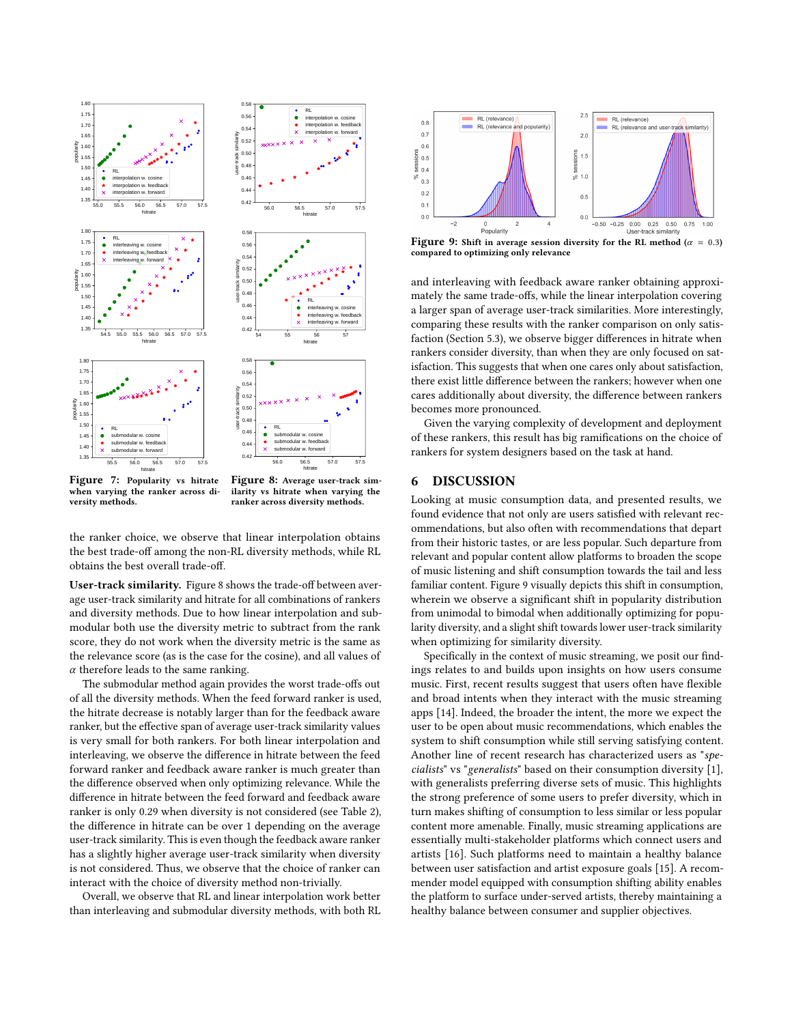<span id="page-7-0"></span>

Figure 7: Popularity vs hitrate when varying the ranker across diversity methods.

Figure 8: Average user-track similarity vs hitrate when varying the ranker across diversity methods.

the ranker choice, we observe that linear interpolation obtains the best trade-off among the non-RL diversity methods, while RL obtains the best overall trade-off.

User-track similarity. Figure [8](#page-7-0) shows the trade-off between average user-track similarity and hitrate for all combinations of rankers and diversity methods. Due to how linear interpolation and submodular both use the diversity metric to subtract from the rank score, they do not work when the diversity metric is the same as the relevance score (as is the case for the cosine), and all values of  $\alpha$  therefore leads to the same ranking.

The submodular method again provides the worst trade-offs out of all the diversity methods. When the feed forward ranker is used, the hitrate decrease is notably larger than for the feedback aware ranker, but the effective span of average user-track similarity values is very small for both rankers. For both linear interpolation and interleaving, we observe the difference in hitrate between the feed forward ranker and feedback aware ranker is much greater than the difference observed when only optimizing relevance. While the difference in hitrate between the feed forward and feedback aware ranker is only 0.29 when diversity is not considered (see Table [2\)](#page-5-0), the difference in hitrate can be over 1 depending on the average user-track similarity. This is even though the feedback aware ranker has a slightly higher average user-track similarity when diversity is not considered. Thus, we observe that the choice of ranker can interact with the choice of diversity method non-trivially.

Overall, we observe that RL and linear interpolation work better than interleaving and submodular diversity methods, with both RL

<span id="page-7-1"></span>

Figure 9: Shift in average session diversity for the RL method ( $\alpha = 0.3$ ) compared to optimizing only relevance

and interleaving with feedback aware ranker obtaining approximately the same trade-offs, while the linear interpolation covering a larger span of average user-track similarities. More interestingly, comparing these results with the ranker comparison on only satisfaction (Section [5.3\)](#page-6-1), we observe bigger differences in hitrate when rankers consider diversity, than when they are only focused on satisfaction. This suggests that when one cares only about satisfaction, there exist little difference between the rankers; however when one cares additionally about diversity, the difference between rankers becomes more pronounced.

Given the varying complexity of development and deployment of these rankers, this result has big ramifications on the choice of rankers for system designers based on the task at hand.

#### 6 DISCUSSION

Looking at music consumption data, and presented results, we found evidence that not only are users satisfied with relevant recommendations, but also often with recommendations that depart from their historic tastes, or are less popular. Such departure from relevant and popular content allow platforms to broaden the scope of music listening and shift consumption towards the tail and less familiar content. Figure [9](#page-7-1) visually depicts this shift in consumption, wherein we observe a significant shift in popularity distribution from unimodal to bimodal when additionally optimizing for popularity diversity, and a slight shift towards lower user-track similarity when optimizing for similarity diversity.

Specifically in the context of music streaming, we posit our findings relates to and builds upon insights on how users consume music. First, recent results suggest that users often have flexible and broad intents when they interact with the music streaming apps [\[14\]](#page-8-33). Indeed, the broader the intent, the more we expect the user to be open about music recommendations, which enables the system to shift consumption while still serving satisfying content. Another line of recent research has characterized users as "specialists" vs "generalists" based on their consumption diversity [\[1\]](#page-8-5), with generalists preferring diverse sets of music. This highlights the strong preference of some users to prefer diversity, which in turn makes shifting of consumption to less similar or less popular content more amenable. Finally, music streaming applications are essentially multi-stakeholder platforms which connect users and artists [\[16\]](#page-8-34). Such platforms need to maintain a healthy balance between user satisfaction and artist exposure goals [\[15\]](#page-8-7). A recommender model equipped with consumption shifting ability enables the platform to surface under-served artists, thereby maintaining a healthy balance between consumer and supplier objectives.